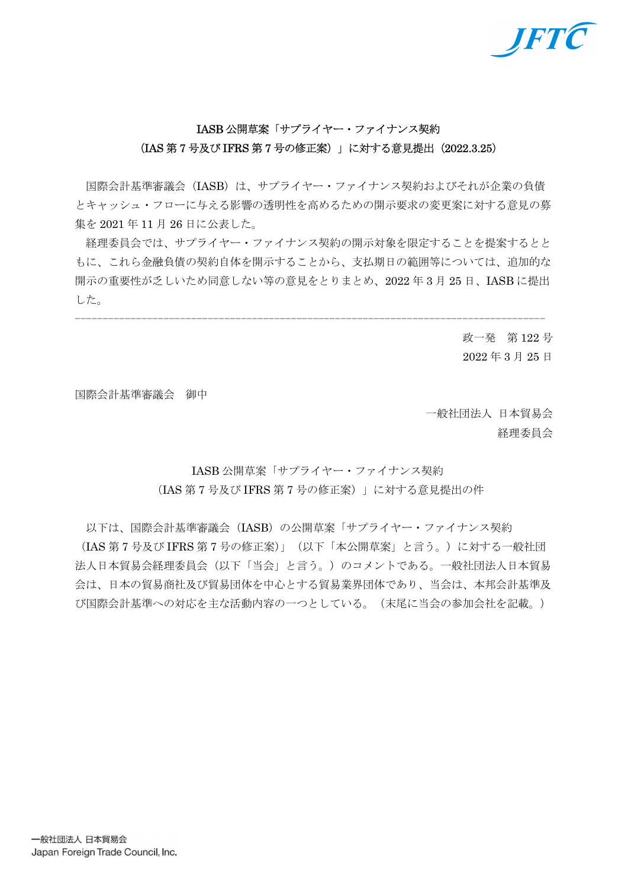

# IASB 公開草案「サプライヤー・ファイナンス契約 (IAS 第 7 号及び IFRS 第 7 号の修正案)」に対する意見提出(2022.3.25)

 国際会計基準審議会(IASB)は、サプライヤー・ファイナンス契約およびそれが企業の負債 とキャッシュ・フローに与える影響の透明性を高めるための開示要求の変更案に対する意見の募 集を 2021 年 11 月 26 日に公表した。

 経理委員会では、サプライヤー・ファイナンス契約の開示対象を限定することを提案するとと もに、これら金融負債の契約自体を開示することから、支払期日の範囲等については、追加的な 開示の重要性が乏しいため同意しない等の意見をとりまとめ、2022 年 3 月 25 日、IASB に提出 した。

-------------------------------------------------------------------------------------

政一発 第 122 号 2022 年 3 月 25 日

国際会計基準審議会 御中

一般社団法人 日本貿易会 経理委員会

IASB 公開草案「サプライヤー・ファイナンス契約 (IAS 第 7 号及び IFRS 第 7 号の修正案)」に対する意見提出の件

以下は、国際会計基準審議会 (IASB) の公開草案「サプライヤー・ファイナンス契約 (IAS 第 7 号及び IFRS 第 7 号の修正案)」(以下「本公開草案」と言う。)に対する一般社団 法人日本貿易会経理委員会(以下「当会」と言う。)のコメントである。一般社団法人日本貿易 会は、日本の貿易商社及び貿易団体を中心とする貿易業界団体であり、当会は、本邦会計基準及 び国際会計基準への対応を主な活動内容の一つとしている。(末尾に当会の参加会社を記載。)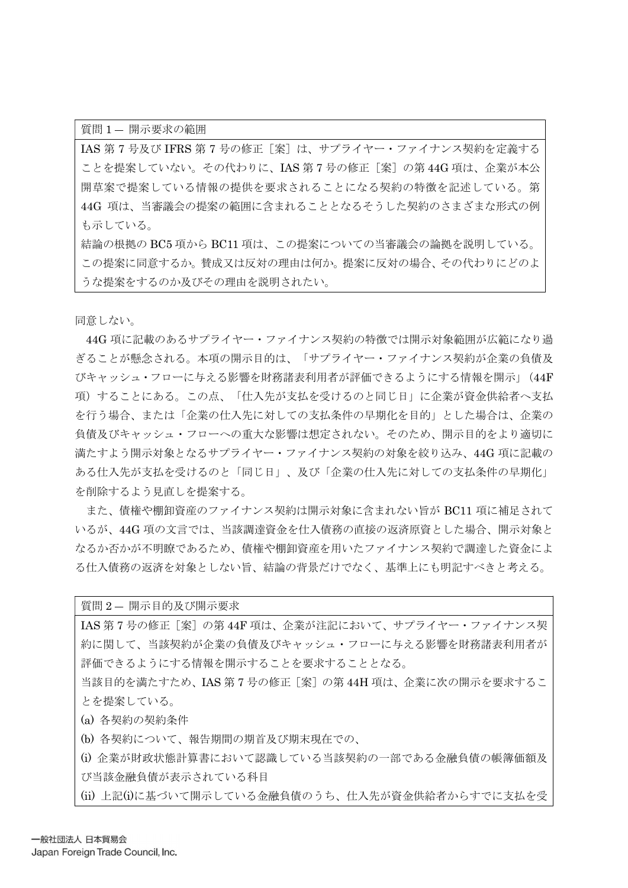質問 1 ― 開示要求の範囲

IAS 第7号及び IFRS 第7号の修正 [案]は、サプライヤー・ファイナンス契約を定義する ことを提案していない。その代わりに、IAS 第7号の修正「案]の第44G 項は、企業が本公 開草案で提案している情報の提供を要求されることになる契約の特徴を記述している。第 44G 項は、当審議会の提案の範囲に含まれることとなるそうした契約のさまざまな形式の例 も示している。

結論の根拠の BC5 項から BC11 項は、この提案についての当審議会の論拠を説明している。 この提案に同意するか。賛成又は反対の理由は何か。提案に反対の場合、その代わりにどのよ うな提案をするのか及びその理由を説明されたい。

同意しない。

44G 項に記載のあるサプライヤー・ファイナンス契約の特徴では開示対象範囲が広範になり過 ぎることが懸念される。本項の開示目的は、「サプライヤー・ファイナンス契約が企業の負債及 びキャッシュ・フローに与える影響を財務諸表利用者が評価できるようにする情報を開示」(44F 項)することにある。この点、「仕入先が支払を受けるのと同じ日」に企業が資金供給者へ支払 を行う場合、または「企業の仕入先に対しての支払条件の早期化を目的」とした場合は、企業の 負債及びキャッシュ・フローへの重大な影響は想定されない。そのため、開示目的をより適切に 満たすよう開示対象となるサプライヤー・ファイナンス契約の対象を絞り込み、44G 項に記載の ある仕入先が支払を受けるのと「同じ日」、及び「企業の仕入先に対しての支払条件の早期化」 を削除するよう見直しを提案する。

また、債権や棚卸資産のファイナンス契約は開示対象に含まれない旨が BC11 項に補足されて いるが、44G 項の文言では、当該調達資金を仕入債務の直接の返済原資とした場合、開示対象と なるか否かが不明瞭であるため、債権や棚卸資産を用いたファイナンス契約で調達した資金によ る仕入債務の返済を対象としない旨、結論の背景だけでなく、基準上にも明記すべきと考える。

質問 2 ― 開示目的及び開示要求 IAS 第7号の修正 [案]の第44F 項は、企業が注記において、サプライヤー・ファイナンス契 約に関して、当該契約が企業の負債及びキャッシュ・フローに与える影響を財務諸表利用者が 評価できるようにする情報を開示することを要求することとなる。

当該目的を満たすため、IAS 第7号の修正「案]の第44H 項は、企業に次の開示を要求するこ とを提案している。

(a) 各契約の契約条件

(b) 各契約について、報告期間の期首及び期末現在での、

(i) 企業が財政状態計算書において認識している当該契約の一部である金融負債の帳簿価額及 び当該金融負債が表示されている科目

(ii) 上記(i)に基づいて開示している金融負債のうち、仕入先が資金供給者からすでに支払を受

一般社団法人 日本貿易会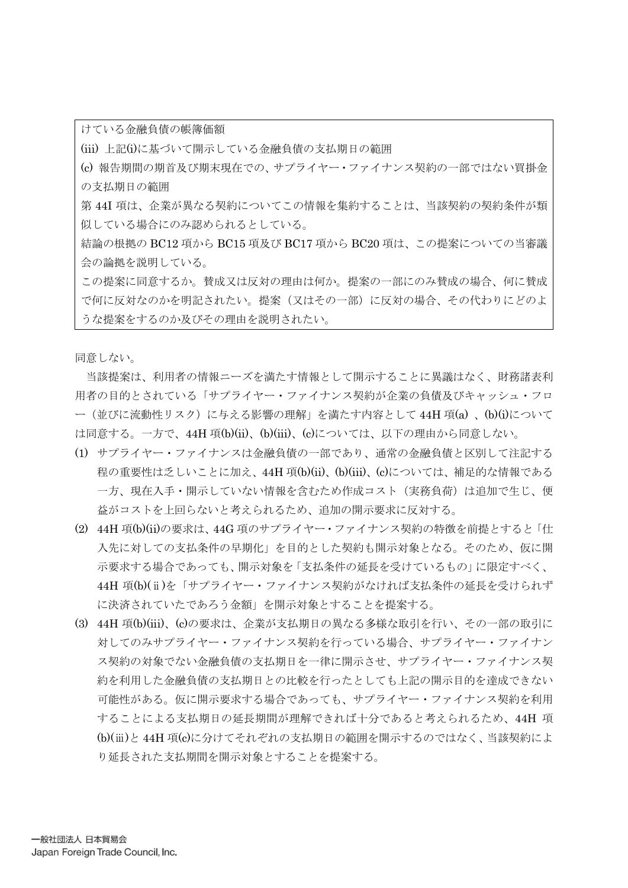けている金融負債の帳簿価額

(iii) 上記(i)に基づいて開示している金融負債の支払期日の範囲

(c) 報告期間の期首及び期末現在での、サプライヤー・ファイナンス契約の一部ではない買掛金 の支払期日の範囲

第 44I 項は、企業が異なる契約についてこの情報を集約することは、当該契約の契約条件が類 似している場合にのみ認められるとしている。

結論の根拠の BC12 項から BC15 項及び BC17 項から BC20 項は、この提案についての当審議 会の論拠を説明している。

この提案に同意するか。賛成又は反対の理由は何か。提案の一部にのみ賛成の場合、何に賛成 で何に反対なのかを明記されたい。提案(又はその一部)に反対の場合、その代わりにどのよ うな提案をするのか及びその理由を説明されたい。

同意しない。

当該提案は、利用者の情報ニーズを満たす情報として開示することに異議はなく、財務諸表利 用者の目的とされている「サプライヤー・ファイナンス契約が企業の負債及びキャッシュ・フロ ー(並びに流動性リスク)に与える影響の理解」を満たす内容として 44H 項(a) 、(b)(i)について は同意する。一方で、44H 項(b)(ii)、(b)(iii)、(c)については、以下の理由から同意しない。

- (1) サプライヤー・ファイナンスは金融負債の一部であり、通常の金融負債と区別して注記する 程の重要性は乏しいことに加え、44H 項(b)(ii)、(b)(iii)、(c)については、補足的な情報である 一方、現在入手・開示していない情報を含むため作成コスト(実務負荷)は追加で生じ、便 益がコストを上回らないと考えられるため、追加の開示要求に反対する。
- (2) 44H 項(b)(ii)の要求は、44G 項のサプライヤー・ファイナンス契約の特徴を前提とすると「仕 入先に対しての支払条件の早期化」を目的とした契約も開示対象となる。そのため、仮に開 示要求する場合であっても、開示対象を「支払条件の延長を受けているもの」に限定すべく、 44H 項(b)(ⅱ)を「サプライヤー・ファイナンス契約がなければ支払条件の延長を受けられず に決済されていたであろう金額」を開示対象とすることを提案する。
- (3) 44H 項(b)(iii)、(c)の要求は、企業が支払期日の異なる多様な取引を行い、その一部の取引に 対してのみサプライヤー・ファイナンス契約を行っている場合、サプライヤー・ファイナン ス契約の対象でない金融負債の支払期日を一律に開示させ、サプライヤー・ファイナンス契 約を利用した金融負債の支払期日との比較を行ったとしても上記の開示目的を達成できない 可能性がある。仮に開示要求する場合であっても、サプライヤー・ファイナンス契約を利用 することによる支払期日の延長期間が理解できれば十分であると考えられるため、44H 項 (b)(ⅲ)と 44H 項(c)に分けてそれぞれの支払期日の範囲を開示するのではなく、当該契約によ り延長された支払期間を開示対象とすることを提案する。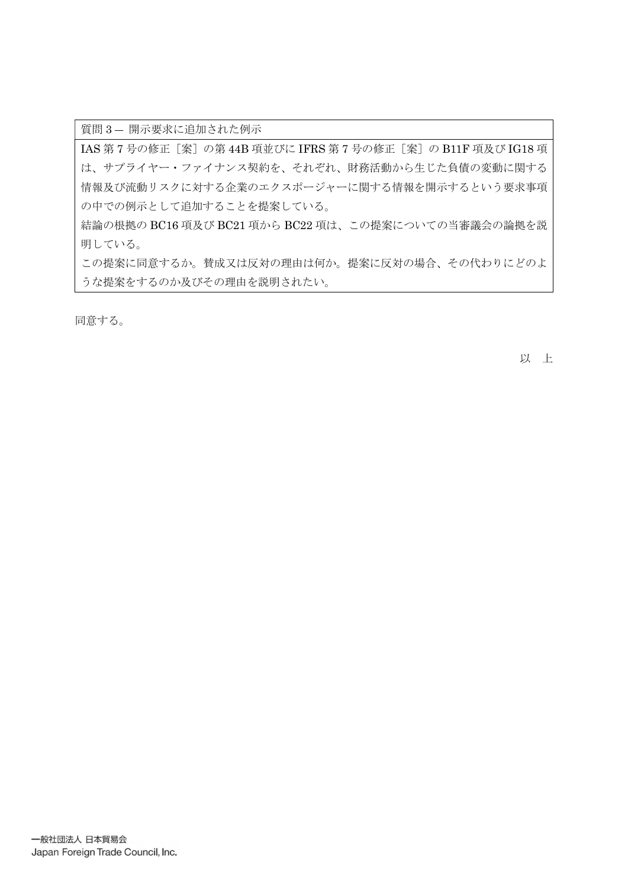質問 3 ― 開示要求に追加された例示

IAS 第 7 号の修正 [案] の第 44B 項並びに IFRS 第 7 号の修正 [案] の B11F 項及び IG18 項 は、サプライヤー・ファイナンス契約を、それぞれ、財務活動から生じた負債の変動に関する 情報及び流動リスクに対する企業のエクスポージャーに関する情報を開示するという要求事項 の中での例示として追加することを提案している。

結論の根拠の BC16 項及び BC21 項から BC22 項は、この提案についての当審議会の論拠を説 明している。

この提案に同意するか。賛成又は反対の理由は何か。提案に反対の場合、その代わりにどのよ うな提案をするのか及びその理由を説明されたい。

同意する。

以 上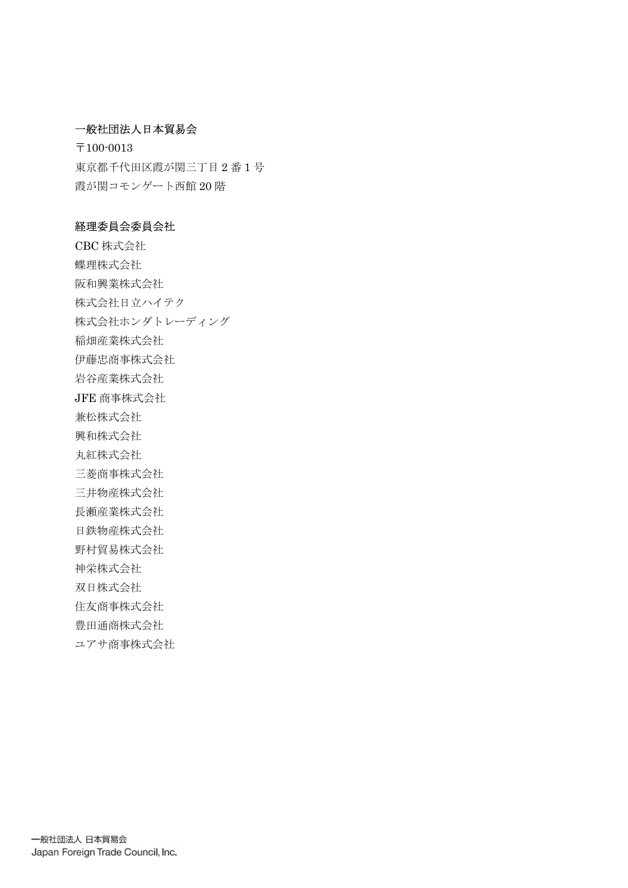### 一般社団法人日本貿易会

〒100-0013 東京都千代田区霞が関三丁目 2 番 1 号 霞が関コモンゲート西館 20 階

### 経理委員会委員会社

CBC 株式会社 蝶理株式会社 阪和興業株式会社 株式会社日立ハイテク 株式会社ホンダトレーディング 稲畑産業株式会社 伊藤忠商事株式会社 岩谷産業株式会社 JFE 商事株式会社 兼松株式会社 興和株式会社 丸紅株式会社 三菱商事株式会社 三井物産株式会社 長瀬産業株式会社 日鉄物産株式会社 野村貿易株式会社 神栄株式会社 双日株式会社 住友商事株式会社 豊田通商株式会社 ユアサ商事株式会社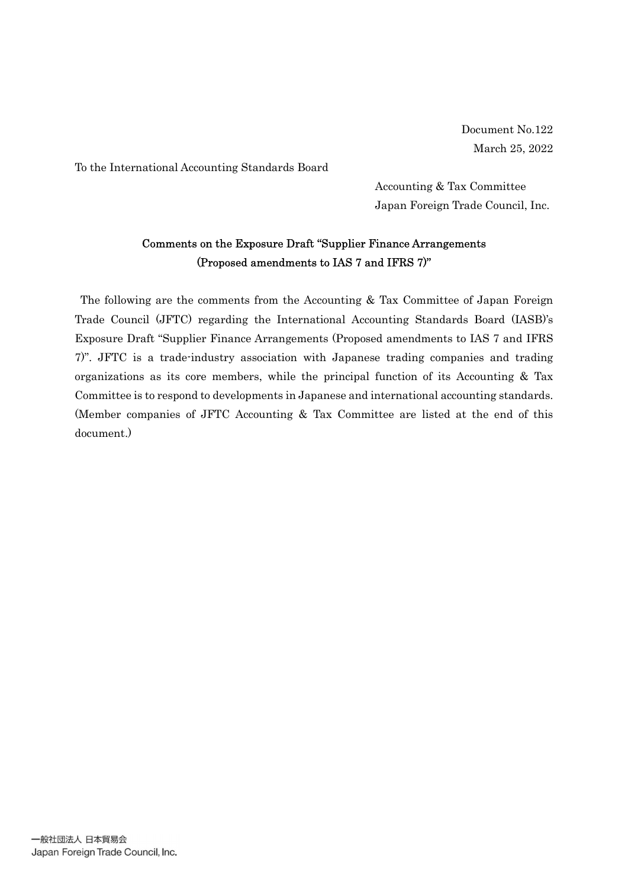Document No.122 March 25, 2022

To the International Accounting Standards Board

Accounting & Tax Committee Japan Foreign Trade Council, Inc.

## Comments on the Exposure Draft "Supplier Finance Arrangements (Proposed amendments to IAS 7 and IFRS 7)"

The following are the comments from the Accounting & Tax Committee of Japan Foreign Trade Council (JFTC) regarding the International Accounting Standards Board (IASB)'s Exposure Draft "Supplier Finance Arrangements (Proposed amendments to IAS 7 and IFRS 7)". JFTC is a trade-industry association with Japanese trading companies and trading organizations as its core members, while the principal function of its Accounting & Tax Committee is to respond to developments in Japanese and international accounting standards. (Member companies of JFTC Accounting & Tax Committee are listed at the end of this document.)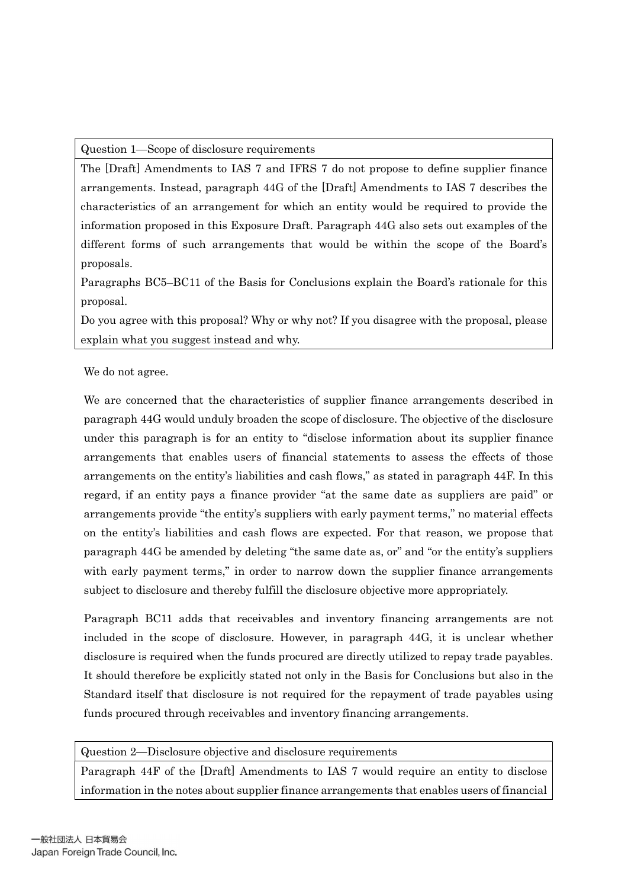Question 1—Scope of disclosure requirements

The [Draft] Amendments to IAS 7 and IFRS 7 do not propose to define supplier finance arrangements. Instead, paragraph 44G of the [Draft] Amendments to IAS 7 describes the characteristics of an arrangement for which an entity would be required to provide the information proposed in this Exposure Draft. Paragraph 44G also sets out examples of the different forms of such arrangements that would be within the scope of the Board's proposals.

Paragraphs BC5–BC11 of the Basis for Conclusions explain the Board's rationale for this proposal.

Do you agree with this proposal? Why or why not? If you disagree with the proposal, please explain what you suggest instead and why.

We do not agree.

We are concerned that the characteristics of supplier finance arrangements described in paragraph 44G would unduly broaden the scope of disclosure. The objective of the disclosure under this paragraph is for an entity to "disclose information about its supplier finance arrangements that enables users of financial statements to assess the effects of those arrangements on the entity's liabilities and cash flows," as stated in paragraph 44F. In this regard, if an entity pays a finance provider "at the same date as suppliers are paid" or arrangements provide "the entity's suppliers with early payment terms," no material effects on the entity's liabilities and cash flows are expected. For that reason, we propose that paragraph 44G be amended by deleting "the same date as, or" and "or the entity's suppliers with early payment terms," in order to narrow down the supplier finance arrangements subject to disclosure and thereby fulfill the disclosure objective more appropriately.

Paragraph BC11 adds that receivables and inventory financing arrangements are not included in the scope of disclosure. However, in paragraph 44G, it is unclear whether disclosure is required when the funds procured are directly utilized to repay trade payables. It should therefore be explicitly stated not only in the Basis for Conclusions but also in the Standard itself that disclosure is not required for the repayment of trade payables using funds procured through receivables and inventory financing arrangements.

Question 2—Disclosure objective and disclosure requirements

Paragraph 44F of the [Draft] Amendments to IAS 7 would require an entity to disclose information in the notes about supplier finance arrangements that enables users of financial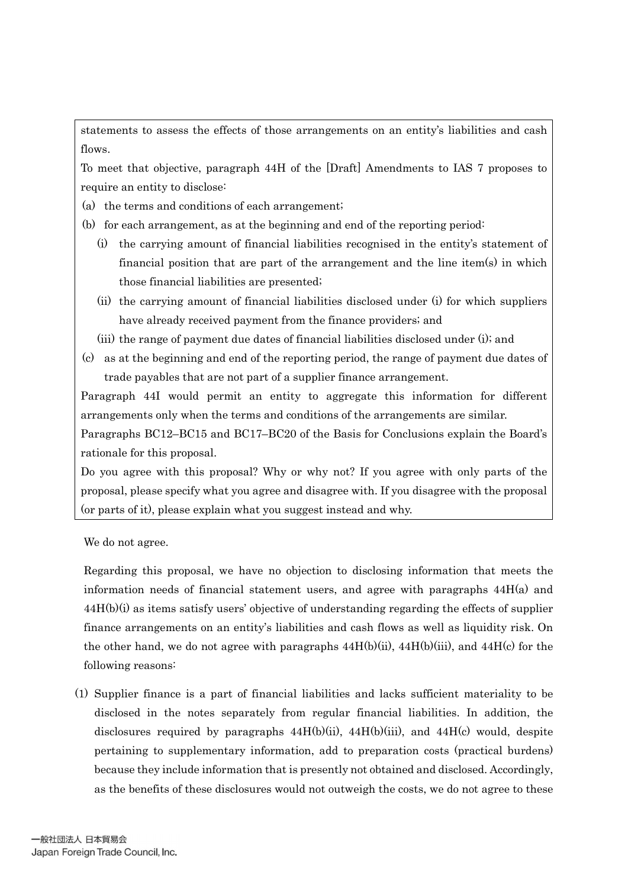statements to assess the effects of those arrangements on an entity's liabilities and cash flows.

To meet that objective, paragraph 44H of the [Draft] Amendments to IAS 7 proposes to require an entity to disclose:

(a) the terms and conditions of each arrangement;

(b) for each arrangement, as at the beginning and end of the reporting period:

- (i) the carrying amount of financial liabilities recognised in the entity's statement of financial position that are part of the arrangement and the line item(s) in which those financial liabilities are presented;
- (ii) the carrying amount of financial liabilities disclosed under (i) for which suppliers have already received payment from the finance providers; and
- (iii) the range of payment due dates of financial liabilities disclosed under (i); and
- (c) as at the beginning and end of the reporting period, the range of payment due dates of trade payables that are not part of a supplier finance arrangement.

Paragraph 44I would permit an entity to aggregate this information for different arrangements only when the terms and conditions of the arrangements are similar.

Paragraphs BC12–BC15 and BC17–BC20 of the Basis for Conclusions explain the Board's rationale for this proposal.

Do you agree with this proposal? Why or why not? If you agree with only parts of the proposal, please specify what you agree and disagree with. If you disagree with the proposal (or parts of it), please explain what you suggest instead and why.

We do not agree.

Regarding this proposal, we have no objection to disclosing information that meets the information needs of financial statement users, and agree with paragraphs  $44H(a)$  and 44H(b)(i) as items satisfy users' objective of understanding regarding the effects of supplier finance arrangements on an entity's liabilities and cash flows as well as liquidity risk. On the other hand, we do not agree with paragraphs  $44H(b)(ii)$ ,  $44H(b)(iii)$ , and  $44H(c)$  for the following reasons:

(1) Supplier finance is a part of financial liabilities and lacks sufficient materiality to be disclosed in the notes separately from regular financial liabilities. In addition, the disclosures required by paragraphs  $44H(b)(ii)$ ,  $44H(b)(iii)$ , and  $44H(c)$  would, despite pertaining to supplementary information, add to preparation costs (practical burdens) because they include information that is presently not obtained and disclosed. Accordingly, as the benefits of these disclosures would not outweigh the costs, we do not agree to these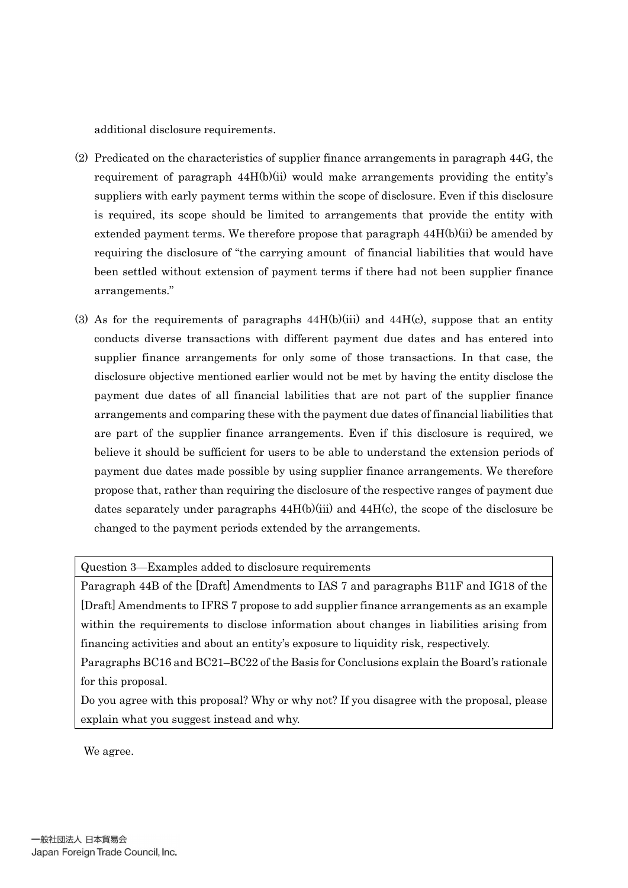additional disclosure requirements.

- (2) Predicated on the characteristics of supplier finance arrangements in paragraph 44G, the requirement of paragraph  $44H(b)(ii)$  would make arrangements providing the entity's suppliers with early payment terms within the scope of disclosure. Even if this disclosure is required, its scope should be limited to arrangements that provide the entity with extended payment terms. We therefore propose that paragraph  $44H(b)(ii)$  be amended by requiring the disclosure of "the carrying amount of financial liabilities that would have been settled without extension of payment terms if there had not been supplier finance arrangements."
- (3) As for the requirements of paragraphs  $44H(b)(iii)$  and  $44H(c)$ , suppose that an entity conducts diverse transactions with different payment due dates and has entered into supplier finance arrangements for only some of those transactions. In that case, the disclosure objective mentioned earlier would not be met by having the entity disclose the payment due dates of all financial labilities that are not part of the supplier finance arrangements and comparing these with the payment due dates of financial liabilities that are part of the supplier finance arrangements. Even if this disclosure is required, we believe it should be sufficient for users to be able to understand the extension periods of payment due dates made possible by using supplier finance arrangements. We therefore propose that, rather than requiring the disclosure of the respective ranges of payment due dates separately under paragraphs  $44H(b)(iii)$  and  $44H(c)$ , the scope of the disclosure be changed to the payment periods extended by the arrangements.

Question 3—Examples added to disclosure requirements

Paragraph 44B of the [Draft] Amendments to IAS 7 and paragraphs B11F and IG18 of the [Draft] Amendments to IFRS 7 propose to add supplier finance arrangements as an example within the requirements to disclose information about changes in liabilities arising from financing activities and about an entity's exposure to liquidity risk, respectively.

Paragraphs BC16 and BC21–BC22 of the Basis for Conclusions explain the Board's rationale for this proposal.

Do you agree with this proposal? Why or why not? If you disagree with the proposal, please explain what you suggest instead and why.

We agree.